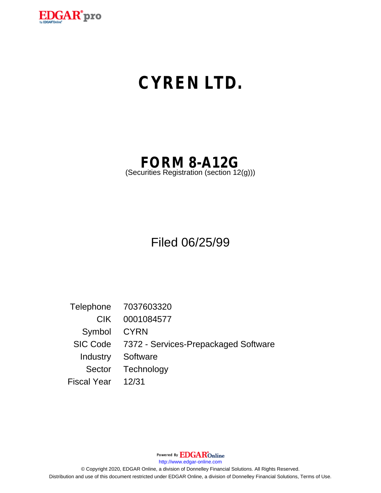

# **CYREN LTD.**

# **FORM 8-A12G**

(Securities Registration (section 12(g)))

Filed 06/25/99

Telephone 7037603320 CIK 0001084577 Symbol CYRN SIC Code 7372 - Services-Prepackaged Software Industry Software Sector Technology Fiscal Year 12/31

Powered By **EDGAR**Online

http://www.edgar-online.com

© Copyright 2020, EDGAR Online, a division of Donnelley Financial Solutions. All Rights Reserved. Distribution and use of this document restricted under EDGAR Online, a division of Donnelley Financial Solutions, Terms of Use.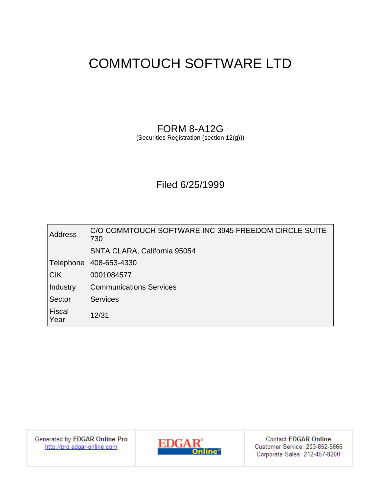## COMMTOUCH SOFTWARE LTD

### FORM 8-A12G (Securities Registration (section 12(g)))

### Filed 6/25/1999

| <b>Address</b>        | C/O COMMTOUCH SOFTWARE INC 3945 FREEDOM CIRCLE SUITE<br>730 |
|-----------------------|-------------------------------------------------------------|
|                       | SNTA CLARA, California 95054                                |
| Telephone             | 408-653-4330                                                |
| <b>CIK</b>            | 0001084577                                                  |
| Industry              | <b>Communications Services</b>                              |
| Sector                | <b>Services</b>                                             |
| <b>Fiscal</b><br>Year | 12/31                                                       |

Generated by EDGAR Online Pro<br>http://pro.edgar-online.com



**Contact EDGAR Online** Customer Service: 203-852-5666 Corporate Sales: 212-457-8200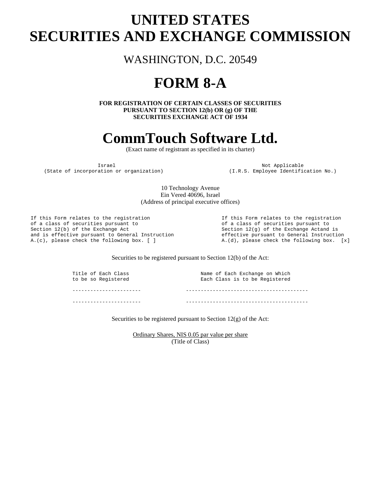### **UNITED STATES SECURITIES AND EXCHANGE COMMISSION**

WASHINGTON, D.C. 20549

## **FORM 8-A**

**FOR REGISTRATION OF CERTAIN CLASSES OF SECURITIES PURSUANT TO SECTION 12(b) OR (g) OF THE SECURITIES EXCHANGE ACT OF 1934** 

### **CommTouch Software Ltd.**

(Exact name of registrant as specified in its charter)

Israel Mot Applicable<br>(State of incorporation or organization) (I.R.S. Employee Identifi

(I.R.S. Employee Identification No.)

10 Technology Avenue Ein Vered 40696, Israel (Address of principal executive offices)

If this Form relates to the registration<br>
of a class of securities pursuant to<br>
of a class of securities pursuant to Section 12(b) of the Exchange Act<br>and is effective pursuant to General Instruction<br>effective pursuant to General Instruction<br>effective pursuant to General Instruction and is effective pursuant to General Instruction A.(c), please check the following box. [ ]  $A.(d)$ , please check the following box. [x]

of a class of securities pursuant to

#### Securities to be registered pursuant to Section 12(b) of the Act:

Title of Each Class Name of Each Exchange on Which to be so Registered Each Class is to be Registered ----------------------- ----------------------------------------- ----------------------- -----------------------------------------

Securities to be registered pursuant to Section 12(g) of the Act:

Ordinary Shares, NIS 0.05 par value per share (Title of Class)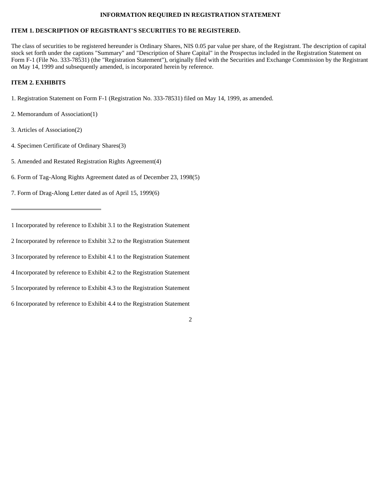#### **INFORMATION REQUIRED IN REGISTRATION STATEMENT**

### **ITEM 1. DESCRIPTION OF REGISTRANT'S SECURITIES TO BE REGISTERED.**

The class of securities to be registered hereunder is Ordinary Shares, NIS 0.05 par value per share, of the Registrant. The description of capital stock set forth under the captions "Summary" and "Description of Share Capital" in the Prospectus included in the Registration Statement on Form F-1 (File No. 333-78531) (the "Registration Statement"), originally filed with the Securities and Exchange Commission by the Registrant on May 14, 1999 and subsequently amended, is incorporated herein by reference.

2

#### **ITEM 2. EXHIBITS**

- 1. Registration Statement on Form F-1 (Registration No. 333-78531) filed on May 14, 1999, as amended.
- 2. Memorandum of Association(1)
- 3. Articles of Association(2)
- 4. Specimen Certificate of Ordinary Shares(3)
- 5. Amended and Restated Registration Rights Agreement(4)
- 6. Form of Tag-Along Rights Agreement dated as of December 23, 1998(5)

7. Form of Drag-Along Letter dated as of April 15, 1999(6)

2 Incorporated by reference to Exhibit 3.2 to the Registration Statement

3 Incorporated by reference to Exhibit 4.1 to the Registration Statement

4 Incorporated by reference to Exhibit 4.2 to the Registration Statement

5 Incorporated by reference to Exhibit 4.3 to the Registration Statement

6 Incorporated by reference to Exhibit 4.4 to the Registration Statement

<sup>1</sup> Incorporated by reference to Exhibit 3.1 to the Registration Statement